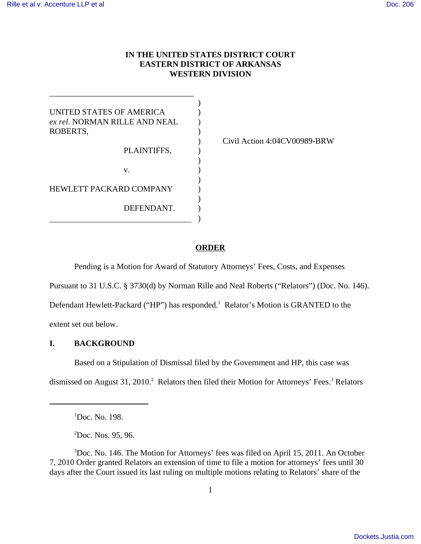# **IN THE UNITED STATES DISTRICT COURT EASTERN DISTRICT OF ARKANSAS WESTERN DIVISION**

)

)

| UNITED STATES OF AMERICA<br>ex rel. NORMAN RILLE AND NEAL<br>ROBERTS, |  |
|-----------------------------------------------------------------------|--|
| PLAINTIFFS,                                                           |  |
| $V_{-}$                                                               |  |
| HEWLETT PACKARD COMPANY                                               |  |

)

DEFENDANT.

\_\_\_\_\_\_\_\_\_\_\_\_\_\_\_\_\_\_\_\_\_\_\_\_\_\_\_\_\_\_\_\_\_\_\_

) Civil Action 4:04CV00989-BRW

## **ORDER**

Pending is a Motion for Award of Statutory Attorneys' Fees, Costs, and Expenses

Pursuant to 31 U.S.C. § 3730(d) by Norman Rille and Neal Roberts ("Relators") (Doc. No. 146).

Defendant Hewlett-Packard ("HP") has responded.<sup>1</sup> Relator's Motion is GRANTED to the

extent set out below.

# **I. BACKGROUND**

Based on a Stipulation of Dismissal filed by the Government and HP, this case was dismissed on August 31, 2010.<sup>2</sup> Relators then filed their Motion for Attorneys' Fees.<sup>3</sup> Relators

<sup>1</sup> Doc. No. 198.

 ${}^{2}$ Doc. Nos. 95, 96.

<sup>&</sup>lt;sup>3</sup>Doc. No. 146. The Motion for Attorneys' fees was filed on April 15, 2011. An October 7, 2010 Order granted Relators an extension of time to file a motion for attorneys' fees until 30 days after the Court issued its last ruling on multiple motions relating to Relators' share of the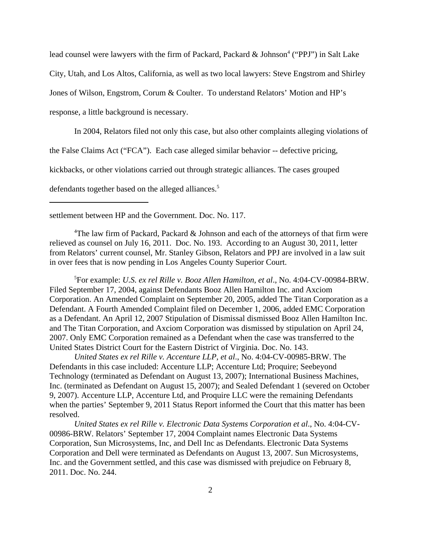lead counsel were lawyers with the firm of Packard, Packard & Johnson<sup>4</sup> ("PPJ") in Salt Lake City, Utah, and Los Altos, California, as well as two local lawyers: Steve Engstrom and Shirley Jones of Wilson, Engstrom, Corum & Coulter. To understand Relators' Motion and HP's response, a little background is necessary.

In 2004, Relators filed not only this case, but also other complaints alleging violations of the False Claims Act ("FCA"). Each case alleged similar behavior -- defective pricing, kickbacks, or other violations carried out through strategic alliances. The cases grouped defendants together based on the alleged alliances.<sup>5</sup>

settlement between HP and the Government. Doc. No. 117.

<sup>4</sup>The law firm of Packard, Packard & Johnson and each of the attorneys of that firm were relieved as counsel on July 16, 2011. Doc. No. 193. According to an August 30, 2011, letter from Relators' current counsel, Mr. Stanley Gibson, Relators and PPJ are involved in a law suit in over fees that is now pending in Los Angeles County Superior Court.

5 For example: *U.S. ex rel Rille v. Booz Allen Hamilton*, *et al*., No. 4:04-CV-00984-BRW. Filed September 17, 2004, against Defendants Booz Allen Hamilton Inc. and Axciom Corporation. An Amended Complaint on September 20, 2005, added The Titan Corporation as a Defendant. A Fourth Amended Complaint filed on December 1, 2006, added EMC Corporation as a Defendant. An April 12, 2007 Stipulation of Dismissal dismissed Booz Allen Hamilton Inc. and The Titan Corporation, and Axciom Corporation was dismissed by stipulation on April 24, 2007. Only EMC Corporation remained as a Defendant when the case was transferred to the United States District Court for the Eastern District of Virginia. Doc. No. 143.

*United States ex rel Rille v. Accenture LLP, et al*., No. 4:04-CV-00985-BRW. The Defendants in this case included: Accenture LLP; Accenture Ltd; Proquire; Seebeyond Technology (terminated as Defendant on August 13, 2007); International Business Machines, Inc. (terminated as Defendant on August 15, 2007); and Sealed Defendant 1 (severed on October 9, 2007). Accenture LLP, Accenture Ltd, and Proquire LLC were the remaining Defendants when the parties' September 9, 2011 Status Report informed the Court that this matter has been resolved.

*United States ex rel Rille v. Electronic Data Systems Corporation et al*., No. 4:04-CV-00986-BRW. Relators' September 17, 2004 Complaint names Electronic Data Systems Corporation, Sun Microsystems, Inc, and Dell Inc as Defendants. Electronic Data Systems Corporation and Dell were terminated as Defendants on August 13, 2007. Sun Microsystems, Inc. and the Government settled, and this case was dismissed with prejudice on February 8, 2011. Doc. No. 244.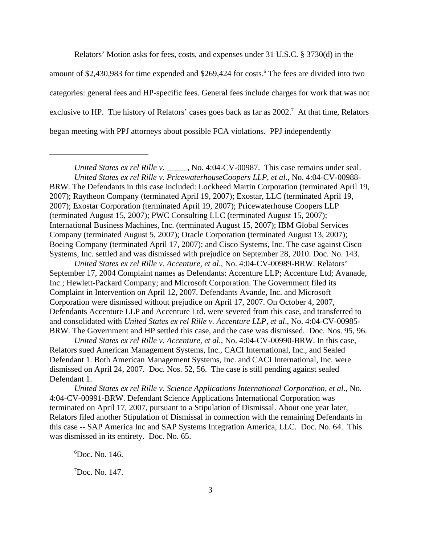Relators' Motion asks for fees, costs, and expenses under 31 U.S.C. § 3730(d) in the amount of \$2,430,983 for time expended and \$269,424 for costs.<sup>6</sup> The fees are divided into two categories: general fees and HP-specific fees. General fees include charges for work that was not exclusive to HP. The history of Relators' cases goes back as far as  $2002$ .<sup>7</sup> At that time, Relators began meeting with PPJ attorneys about possible FCA violations. PPJ independently

*United States ex rel Rille v. Accenture, et al*., No. 4:04-CV-00989-BRW. Relators' September 17, 2004 Complaint names as Defendants: Accenture LLP; Accenture Ltd; Avanade, Inc.; Hewlett-Packard Company; and Microsoft Corporation. The Government filed its Complaint in Intervention on April 12, 2007. Defendants Avande, Inc. and Microsoft Corporation were dismissed without prejudice on April 17, 2007. On October 4, 2007, Defendants Accenture LLP and Accenture Ltd. were severed from this case, and transferred to and consolidated with *United States ex rel Rille v. Accenture LLP, et al*., No. 4:04-CV-00985- BRW. The Government and HP settled this case, and the case was dismissed. Doc. Nos. 95, 96.

*United States ex rel Rille v. Accenture, et al*., No. 4:04-CV-00990-BRW. In this case, Relators sued American Management Systems, Inc., CACI International, Inc., and Sealed Defendant 1. Both American Management Systems, Inc. and CACI International, Inc. were dismissed on April 24, 2007. Doc. Nos. 52, 56. The case is still pending against sealed Defendant 1.

*United States ex rel Rille v. Science Applications International Corporation, et al*., No. 4:04-CV-00991-BRW. Defendant Science Applications International Corporation was terminated on April 17, 2007, pursuant to a Stipulation of Dismissal. About one year later, Relators filed another Stipulation of Dismissal in connection with the remaining Defendants in this case -- SAP America Inc and SAP Systems Integration America, LLC. Doc. No. 64. This was dismissed in its entirety. Doc. No. 65.

6 Doc. No. 146.

7 Doc. No. 147.

*United States ex rel Rille v. \_\_\_\_\_*, No. 4:04-CV-00987. This case remains under seal. *United States ex rel Rille v. PricewaterhouseCoopers LLP, et al*., No. 4:04-CV-00988- BRW. The Defendants in this case included: Lockheed Martin Corporation (terminated April 19, 2007); Raytheon Company (terminated April 19, 2007); Exostar, LLC (terminated April 19, 2007); Exostar Corporation (terminated April 19, 2007); Pricewaterhouse Coopers LLP (terminated August 15, 2007); PWC Consulting LLC (terminated August 15, 2007); International Business Machines, Inc. (terminated August 15, 2007); IBM Global Services Company (terminated August 5, 2007); Oracle Corporation (terminated August 13, 2007); Boeing Company (terminated April 17, 2007); and Cisco Systems, Inc. The case against Cisco Systems, Inc. settled and was dismissed with prejudice on September 28, 2010. Doc. No. 143.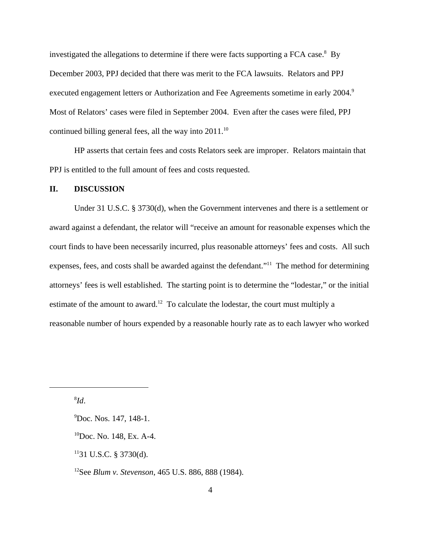investigated the allegations to determine if there were facts supporting a FCA case.<sup>8</sup> By December 2003, PPJ decided that there was merit to the FCA lawsuits. Relators and PPJ executed engagement letters or Authorization and Fee Agreements sometime in early 2004.<sup>9</sup> Most of Relators' cases were filed in September 2004. Even after the cases were filed, PPJ continued billing general fees, all the way into 2011.<sup>10</sup>

HP asserts that certain fees and costs Relators seek are improper. Relators maintain that PPJ is entitled to the full amount of fees and costs requested.

## **II. DISCUSSION**

Under 31 U.S.C. § 3730(d), when the Government intervenes and there is a settlement or award against a defendant, the relator will "receive an amount for reasonable expenses which the court finds to have been necessarily incurred, plus reasonable attorneys' fees and costs. All such expenses, fees, and costs shall be awarded against the defendant."<sup>11</sup> The method for determining attorneys' fees is well established. The starting point is to determine the "lodestar," or the initial estimate of the amount to award.<sup>12</sup> To calculate the lodestar, the court must multiply a reasonable number of hours expended by a reasonable hourly rate as to each lawyer who worked

8 *Id*.

<sup>&</sup>lt;sup>9</sup>Doc. Nos. 147, 148-1.

<sup>10</sup>Doc. No. 148, Ex. A-4.

 $1131$  U.S.C. § 3730(d).

<sup>12</sup>See *Blum v. Stevenson*, 465 U.S. 886, 888 (1984).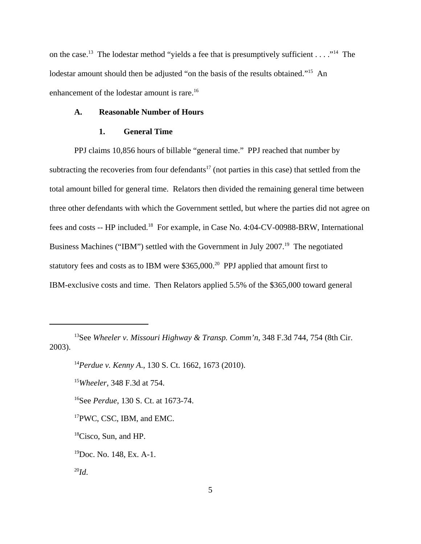on the case.<sup>13</sup> The lodestar method "yields a fee that is presumptively sufficient . . . . .<sup>14</sup> The lodestar amount should then be adjusted "on the basis of the results obtained."<sup>15</sup> An enhancement of the lodestar amount is rare.<sup>16</sup>

#### **A. Reasonable Number of Hours**

#### **1. General Time**

PPJ claims 10,856 hours of billable "general time." PPJ reached that number by subtracting the recoveries from four defendants<sup>17</sup> (not parties in this case) that settled from the total amount billed for general time. Relators then divided the remaining general time between three other defendants with which the Government settled, but where the parties did not agree on fees and costs -- HP included.18 For example, in Case No. 4:04-CV-00988-BRW, International Business Machines ("IBM") settled with the Government in July 2007.<sup>19</sup> The negotiated statutory fees and costs as to IBM were  $$365,000.<sup>20</sup>$  PPJ applied that amount first to IBM-exclusive costs and time. Then Relators applied 5.5% of the \$365,000 toward general

<sup>13</sup>See *Wheeler v. Missouri Highway & Transp. Comm'n*, 348 F.3d 744, 754 (8th Cir. 2003).

<sup>14</sup>*Perdue v. Kenny A*., 130 S. Ct. 1662, 1673 (2010).

<sup>15</sup>*Wheeler*, 348 F.3d at 754.

<sup>16</sup>See *Perdue*, 130 S. Ct. at 1673-74.

<sup>17</sup>PWC, CSC, IBM, and EMC.

<sup>&</sup>lt;sup>18</sup>Cisco, Sun, and HP.

<sup>19</sup>Doc. No. 148, Ex. A-1.

 $^{20}Id.$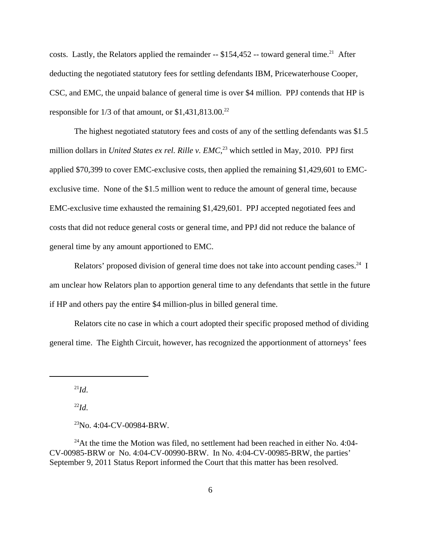costs. Lastly, the Relators applied the remainder  $-$  \$154,452  $-$  toward general time.<sup>21</sup> After deducting the negotiated statutory fees for settling defendants IBM, Pricewaterhouse Cooper, CSC, and EMC, the unpaid balance of general time is over \$4 million. PPJ contends that HP is responsible for  $1/3$  of that amount, or \$1,431,813.00.<sup>22</sup>

The highest negotiated statutory fees and costs of any of the settling defendants was \$1.5 million dollars in *United States ex rel. Rille v. EMC*,<sup>23</sup> which settled in May, 2010. PPJ first applied \$70,399 to cover EMC-exclusive costs, then applied the remaining \$1,429,601 to EMCexclusive time. None of the \$1.5 million went to reduce the amount of general time, because EMC-exclusive time exhausted the remaining \$1,429,601. PPJ accepted negotiated fees and costs that did not reduce general costs or general time, and PPJ did not reduce the balance of general time by any amount apportioned to EMC.

Relators' proposed division of general time does not take into account pending cases.<sup>24</sup> I am unclear how Relators plan to apportion general time to any defendants that settle in the future if HP and others pay the entire \$4 million-plus in billed general time.

Relators cite no case in which a court adopted their specific proposed method of dividing general time. The Eighth Circuit, however, has recognized the apportionment of attorneys' fees

 $^{21}Id$ .

 $^{22}Id.$ 

 $^{24}$ At the time the Motion was filed, no settlement had been reached in either No. 4:04-CV-00985-BRW or No. 4:04-CV-00990-BRW. In No. 4:04-CV-00985-BRW, the parties' September 9, 2011 Status Report informed the Court that this matter has been resolved.

 $23$ No. 4:04-CV-00984-BRW.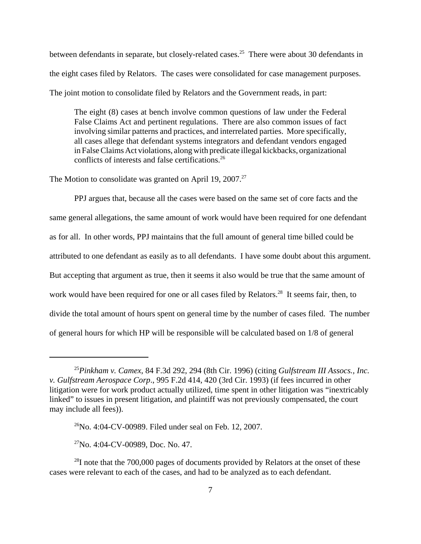between defendants in separate, but closely-related cases.<sup>25</sup> There were about 30 defendants in the eight cases filed by Relators. The cases were consolidated for case management purposes. The joint motion to consolidate filed by Relators and the Government reads, in part:

The eight (8) cases at bench involve common questions of law under the Federal False Claims Act and pertinent regulations. There are also common issues of fact involving similar patterns and practices, and interrelated parties. More specifically, all cases allege that defendant systems integrators and defendant vendors engaged in False Claims Act violations, along with predicate illegal kickbacks, organizational conflicts of interests and false certifications.<sup>26</sup>

The Motion to consolidate was granted on April 19,  $2007<sup>27</sup>$ 

PPJ argues that, because all the cases were based on the same set of core facts and the same general allegations, the same amount of work would have been required for one defendant as for all. In other words, PPJ maintains that the full amount of general time billed could be attributed to one defendant as easily as to all defendants. I have some doubt about this argument. But accepting that argument as true, then it seems it also would be true that the same amount of work would have been required for one or all cases filed by Relators.<sup>28</sup> It seems fair, then, to divide the total amount of hours spent on general time by the number of cases filed. The number of general hours for which HP will be responsible will be calculated based on 1/8 of general

<sup>25</sup>*Pinkham v. Camex*, 84 F.3d 292, 294 (8th Cir. 1996) (citing *Gulfstream III Assocs., Inc. v. Gulfstream Aerospace Corp*., 995 F.2d 414, 420 (3rd Cir. 1993) (if fees incurred in other litigation were for work product actually utilized, time spent in other litigation was "inextricably linked" to issues in present litigation, and plaintiff was not previously compensated, the court may include all fees)).

 $^{26}$ No. 4:04-CV-00989. Filed under seal on Feb. 12, 2007.

 $27$ No. 4:04-CV-00989, Doc. No. 47.

 $^{28}$ I note that the 700,000 pages of documents provided by Relators at the onset of these cases were relevant to each of the cases, and had to be analyzed as to each defendant.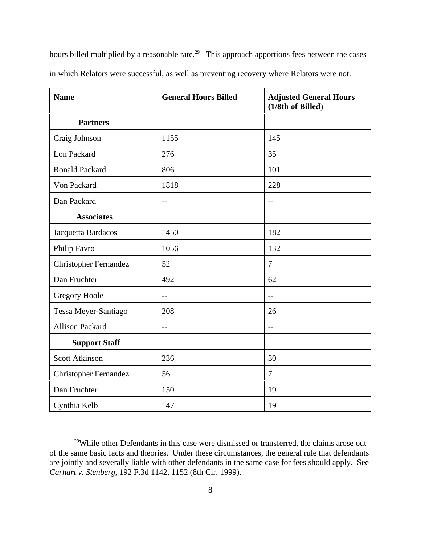hours billed multiplied by a reasonable rate.<sup>29</sup> This approach apportions fees between the cases in which Relators were successful, as well as preventing recovery where Relators were not.

| <b>Name</b>                  | <b>General Hours Billed</b> | <b>Adjusted General Hours</b><br>(1/8th of Billed) |
|------------------------------|-----------------------------|----------------------------------------------------|
| <b>Partners</b>              |                             |                                                    |
| Craig Johnson                | 1155                        | 145                                                |
| Lon Packard                  | 276                         | 35                                                 |
| <b>Ronald Packard</b>        | 806                         | 101                                                |
| Von Packard                  | 1818                        | 228                                                |
| Dan Packard                  | $-$                         | $-$                                                |
| <b>Associates</b>            |                             |                                                    |
| Jacquetta Bardacos           | 1450                        | 182                                                |
| Philip Favro                 | 1056                        | 132                                                |
| <b>Christopher Fernandez</b> | 52                          | $\tau$                                             |
| Dan Fruchter                 | 492                         | 62                                                 |
| <b>Gregory Hoole</b>         | $-$                         | $-$                                                |
| Tessa Meyer-Santiago         | 208                         | 26                                                 |
| <b>Allison Packard</b>       | $- -$                       | $-$                                                |
| <b>Support Staff</b>         |                             |                                                    |
| <b>Scott Atkinson</b>        | 236                         | 30                                                 |
| <b>Christopher Fernandez</b> | 56                          | 7                                                  |
| Dan Fruchter                 | 150                         | 19                                                 |
| Cynthia Kelb                 | 147                         | 19                                                 |

<sup>&</sup>lt;sup>29</sup>While other Defendants in this case were dismissed or transferred, the claims arose out of the same basic facts and theories. Under these circumstances, the general rule that defendants are jointly and severally liable with other defendants in the same case for fees should apply. See *Carhart v. Stenberg*, 192 F.3d 1142, 1152 (8th Cir. 1999).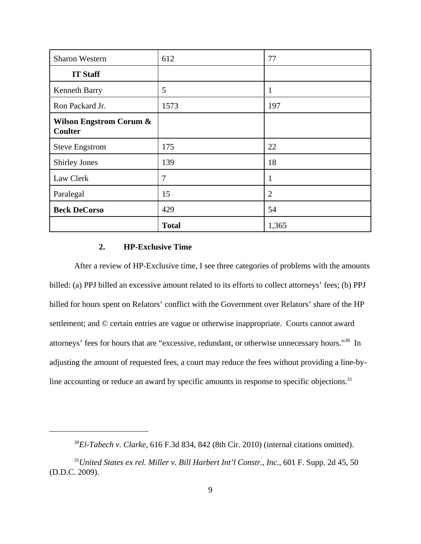| <b>Sharon Western</b>                                | 612            | 77             |
|------------------------------------------------------|----------------|----------------|
| <b>IT Staff</b>                                      |                |                |
| <b>Kenneth Barry</b>                                 | 5              | 1              |
| Ron Packard Jr.                                      | 1573           | 197            |
| <b>Wilson Engstrom Corum &amp;</b><br><b>Coulter</b> |                |                |
| <b>Steve Engstrom</b>                                | 175            | 22             |
| <b>Shirley Jones</b>                                 | 139            | 18             |
| Law Clerk                                            | $\overline{7}$ | 1              |
| Paralegal                                            | 15             | $\overline{2}$ |
| <b>Beck DeCorso</b>                                  | 429            | 54             |
|                                                      | <b>Total</b>   | 1,365          |

# **2. HP-Exclusive Time**

After a review of HP-Exclusive time, I see three categories of problems with the amounts billed: (a) PPJ billed an excessive amount related to its efforts to collect attorneys' fees; (b) PPJ billed for hours spent on Relators' conflict with the Government over Relators' share of the HP settlement; and © certain entries are vague or otherwise inappropriate. Courts cannot award attorneys' fees for hours that are "excessive, redundant, or otherwise unnecessary hours."30In adjusting the amount of requested fees, a court may reduce the fees without providing a line-byline accounting or reduce an award by specific amounts in response to specific objections.<sup>31</sup>

<sup>30</sup>*El-Tabech v. Clarke*, 616 F.3d 834, 842 (8th Cir. 2010) (internal citations omitted).

<sup>31</sup>*United States ex rel. Miller v. Bill Harbert Int'l Constr., Inc*., 601 F. Supp. 2d 45, 50 (D.D.C. 2009).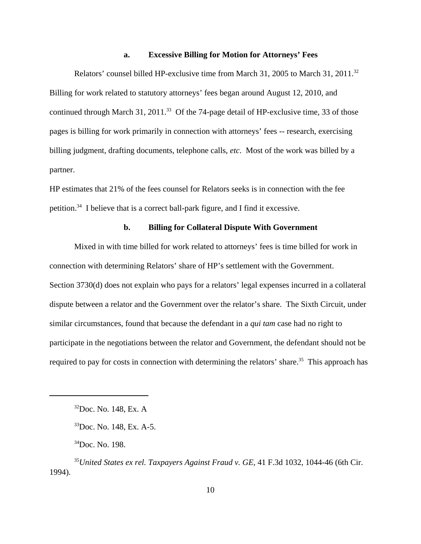#### **a. Excessive Billing for Motion for Attorneys' Fees**

Relators' counsel billed HP-exclusive time from March 31, 2005 to March 31, 2011.<sup>32</sup> Billing for work related to statutory attorneys' fees began around August 12, 2010, and continued through March 31, 2011.<sup>33</sup> Of the 74-page detail of HP-exclusive time, 33 of those pages is billing for work primarily in connection with attorneys' fees -- research, exercising billing judgment, drafting documents, telephone calls, *etc*. Most of the work was billed by a partner.

HP estimates that 21% of the fees counsel for Relators seeks is in connection with the fee petition.34 I believe that is a correct ball-park figure, and I find it excessive.

### **b. Billing for Collateral Dispute With Government**

Mixed in with time billed for work related to attorneys' fees is time billed for work in connection with determining Relators' share of HP's settlement with the Government. Section 3730(d) does not explain who pays for a relators' legal expenses incurred in a collateral dispute between a relator and the Government over the relator's share. The Sixth Circuit, under similar circumstances, found that because the defendant in a *qui tam* case had no right to participate in the negotiations between the relator and Government, the defendant should not be required to pay for costs in connection with determining the relators' share.<sup>35</sup> This approach has

<sup>32</sup>Doc. No. 148, Ex. A

<sup>33</sup>Doc. No. 148, Ex. A-5.

 $34$ Doc. No. 198.

<sup>35</sup>*United States ex rel. Taxpayers Against Fraud v. GE*, 41 F.3d 1032, 1044-46 (6th Cir. 1994).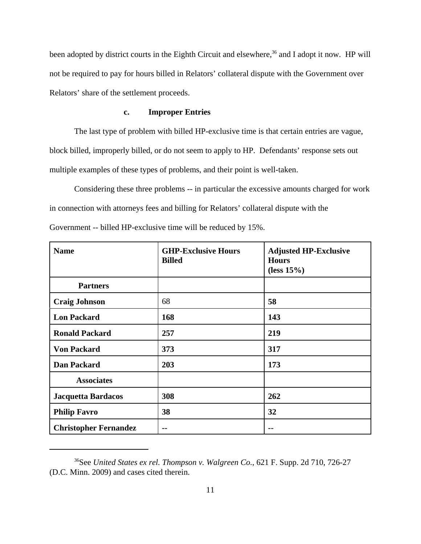been adopted by district courts in the Eighth Circuit and elsewhere,<sup>36</sup> and I adopt it now. HP will not be required to pay for hours billed in Relators' collateral dispute with the Government over Relators' share of the settlement proceeds.

## **c. Improper Entries**

The last type of problem with billed HP-exclusive time is that certain entries are vague, block billed, improperly billed, or do not seem to apply to HP. Defendants' response sets out multiple examples of these types of problems, and their point is well-taken.

Considering these three problems -- in particular the excessive amounts charged for work in connection with attorneys fees and billing for Relators' collateral dispute with the Government -- billed HP-exclusive time will be reduced by 15%.

| <b>Name</b>                  | <b>GHP-Exclusive Hours</b><br><b>Billed</b> | <b>Adjusted HP-Exclusive</b><br><b>Hours</b><br>(less $15%$ ) |
|------------------------------|---------------------------------------------|---------------------------------------------------------------|
| <b>Partners</b>              |                                             |                                                               |
| <b>Craig Johnson</b>         | 68                                          | 58                                                            |
| <b>Lon Packard</b>           | 168                                         | 143                                                           |
| <b>Ronald Packard</b>        | 257                                         | 219                                                           |
| <b>Von Packard</b>           | 373                                         | 317                                                           |
| <b>Dan Packard</b>           | 203                                         | 173                                                           |
| <b>Associates</b>            |                                             |                                                               |
| Jacquetta Bardacos           | 308                                         | 262                                                           |
| <b>Philip Favro</b>          | 38                                          | 32                                                            |
| <b>Christopher Fernandez</b> | --                                          | --                                                            |

<sup>36</sup>See *United States ex rel. Thompson v. Walgreen Co.*, 621 F. Supp. 2d 710, 726-27 (D.C. Minn. 2009) and cases cited therein.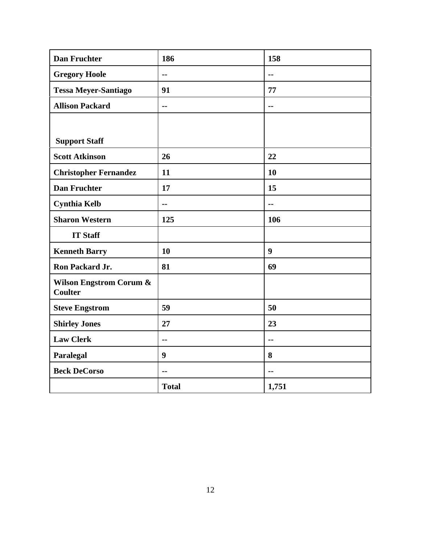| <b>Dan Fruchter</b>                                  | 186              | 158              |
|------------------------------------------------------|------------------|------------------|
| <b>Gregory Hoole</b>                                 | $\mathbf{u}$     | $\overline{a}$   |
| <b>Tessa Meyer-Santiago</b>                          | 91               | 77               |
| <b>Allison Packard</b>                               | $\sim$ $\sim$    | $\overline{a}$   |
|                                                      |                  |                  |
| <b>Support Staff</b>                                 |                  |                  |
| <b>Scott Atkinson</b>                                | 26               | 22               |
| <b>Christopher Fernandez</b>                         | 11               | 10               |
| <b>Dan Fruchter</b>                                  | 17               | 15               |
| <b>Cynthia Kelb</b>                                  | $\overline{a}$   | $-$              |
| <b>Sharon Western</b>                                | 125              | 106              |
| <b>IT Staff</b>                                      |                  |                  |
| <b>Kenneth Barry</b>                                 | 10               | $\boldsymbol{9}$ |
| Ron Packard Jr.                                      | 81               | 69               |
| <b>Wilson Engstrom Corum &amp;</b><br><b>Coulter</b> |                  |                  |
| <b>Steve Engstrom</b>                                | 59               | 50               |
| <b>Shirley Jones</b>                                 | 27               | 23               |
| <b>Law Clerk</b>                                     | $\sim$ $\sim$    | $\overline{a}$   |
| Paralegal                                            | $\boldsymbol{9}$ | 8                |
| <b>Beck DeCorso</b>                                  | $\sim$ $\sim$    | $-$              |
|                                                      | <b>Total</b>     | 1,751            |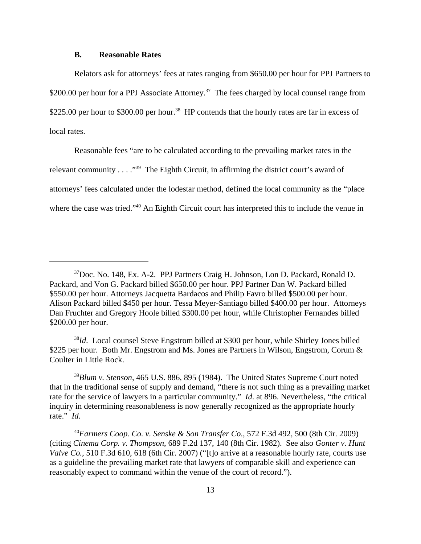#### **B. Reasonable Rates**

Relators ask for attorneys' fees at rates ranging from \$650.00 per hour for PPJ Partners to \$200.00 per hour for a PPJ Associate Attorney.<sup>37</sup> The fees charged by local counsel range from \$225.00 per hour to \$300.00 per hour.<sup>38</sup> HP contends that the hourly rates are far in excess of local rates.

Reasonable fees "are to be calculated according to the prevailing market rates in the relevant community . . . ."39 The Eighth Circuit, in affirming the district court's award of attorneys' fees calculated under the lodestar method, defined the local community as the "place where the case was tried."<sup>40</sup> An Eighth Circuit court has interpreted this to include the venue in

<sup>37</sup>Doc. No. 148, Ex. A-2. PPJ Partners Craig H. Johnson, Lon D. Packard, Ronald D. Packard, and Von G. Packard billed \$650.00 per hour. PPJ Partner Dan W. Packard billed \$550.00 per hour. Attorneys Jacquetta Bardacos and Philip Favro billed \$500.00 per hour. Alison Packard billed \$450 per hour. Tessa Meyer-Santiago billed \$400.00 per hour. Attorneys Dan Fruchter and Gregory Hoole billed \$300.00 per hour, while Christopher Fernandes billed \$200.00 per hour.

<sup>38</sup>*Id*. Local counsel Steve Engstrom billed at \$300 per hour, while Shirley Jones billed \$225 per hour. Both Mr. Engstrom and Ms. Jones are Partners in Wilson, Engstrom, Corum & Coulter in Little Rock.

<sup>39</sup>*Blum v. Stenson*, 465 U.S. 886, 895 (1984). The United States Supreme Court noted that in the traditional sense of supply and demand, "there is not such thing as a prevailing market rate for the service of lawyers in a particular community." *Id*. at 896. Nevertheless, "the critical inquiry in determining reasonableness is now generally recognized as the appropriate hourly rate." *Id*.

<sup>40</sup>*Farmers Coop. Co. v. Senske & Son Transfer Co*., 572 F.3d 492, 500 (8th Cir. 2009) (citing *Cinema Corp. v. Thompson*, 689 F.2d 137, 140 (8th Cir. 1982). See also *Gonter v. Hunt Valve Co.*, 510 F.3d 610, 618 (6th Cir. 2007) ("[t]o arrive at a reasonable hourly rate, courts use as a guideline the prevailing market rate that lawyers of comparable skill and experience can reasonably expect to command within the venue of the court of record.").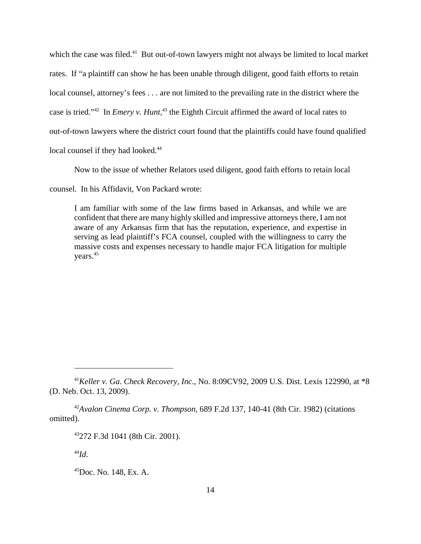which the case was filed.<sup>41</sup> But out-of-town lawyers might not always be limited to local market rates. If "a plaintiff can show he has been unable through diligent, good faith efforts to retain local counsel, attorney's fees . . . are not limited to the prevailing rate in the district where the case is tried."<sup>42</sup> In *Emery v. Hunt*,<sup>43</sup> the Eighth Circuit affirmed the award of local rates to out-of-town lawyers where the district court found that the plaintiffs could have found qualified local counsel if they had looked.<sup>44</sup>

Now to the issue of whether Relators used diligent, good faith efforts to retain local

counsel. In his Affidavit, Von Packard wrote:

I am familiar with some of the law firms based in Arkansas, and while we are confident that there are many highly skilled and impressive attorneys there, I am not aware of any Arkansas firm that has the reputation, experience, and expertise in serving as lead plaintiff's FCA counsel, coupled with the willingness to carry the massive costs and expenses necessary to handle major FCA litigation for multiple years.45

<sup>42</sup>*Avalon Cinema Corp. v. Thompson*, 689 F.2d 137, 140-41 (8th Cir. 1982) (citations omitted).

<sup>44</sup>*Id*.

<sup>41</sup>*Keller v. Ga. Check Recovery, Inc*., No. 8:09CV92, 2009 U.S. Dist. Lexis 122990, at \*8 (D. Neb. Oct. 13, 2009).

<sup>43272</sup> F.3d 1041 (8th Cir. 2001).

<sup>45</sup>Doc. No. 148, Ex. A.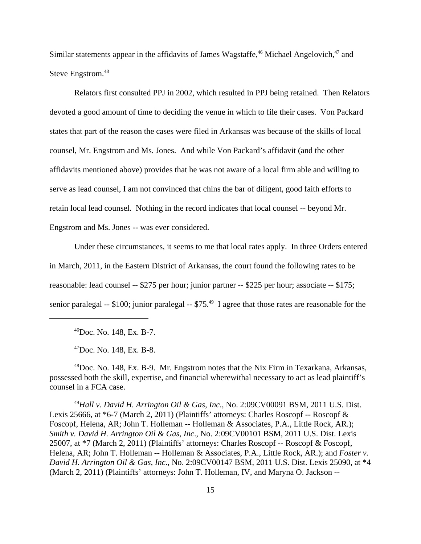Similar statements appear in the affidavits of James Wagstaffe,<sup>46</sup> Michael Angelovich,<sup>47</sup> and Steve Engstrom.<sup>48</sup>

Relators first consulted PPJ in 2002, which resulted in PPJ being retained. Then Relators devoted a good amount of time to deciding the venue in which to file their cases. Von Packard states that part of the reason the cases were filed in Arkansas was because of the skills of local counsel, Mr. Engstrom and Ms. Jones. And while Von Packard's affidavit (and the other affidavits mentioned above) provides that he was not aware of a local firm able and willing to serve as lead counsel, I am not convinced that chins the bar of diligent, good faith efforts to retain local lead counsel. Nothing in the record indicates that local counsel -- beyond Mr. Engstrom and Ms. Jones -- was ever considered.

Under these circumstances, it seems to me that local rates apply. In three Orders entered in March, 2011, in the Eastern District of Arkansas, the court found the following rates to be reasonable: lead counsel -- \$275 per hour; junior partner -- \$225 per hour; associate -- \$175; senior paralegal -- \$100; junior paralegal -- \$75.<sup>49</sup> I agree that those rates are reasonable for the

46Doc. No. 148, Ex. B-7.

 $^{47}$ Doc. No. 148, Ex. B-8.

48Doc. No. 148, Ex. B-9. Mr. Engstrom notes that the Nix Firm in Texarkana, Arkansas, possessed both the skill, expertise, and financial wherewithal necessary to act as lead plaintiff's counsel in a FCA case.

<sup>49</sup>*Hall v. David H. Arrington Oil & Gas, Inc*., No. 2:09CV00091 BSM, 2011 U.S. Dist. Lexis 25666, at \*6-7 (March 2, 2011) (Plaintiffs' attorneys: Charles Roscopf -- Roscopf & Foscopf, Helena, AR; John T. Holleman -- Holleman & Associates, P.A., Little Rock, AR.); *Smith v. David H. Arrington Oil & Gas, Inc*., No. 2:09CV00101 BSM, 2011 U.S. Dist. Lexis 25007, at \*7 (March 2, 2011) (Plaintiffs' attorneys: Charles Roscopf -- Roscopf & Foscopf, Helena, AR; John T. Holleman -- Holleman & Associates, P.A., Little Rock, AR.); and *Foster v. David H. Arrington Oil & Gas, Inc*., No. 2:09CV00147 BSM, 2011 U.S. Dist. Lexis 25090, at \*4 (March 2, 2011) (Plaintiffs' attorneys: John T. Holleman, IV, and Maryna O. Jackson --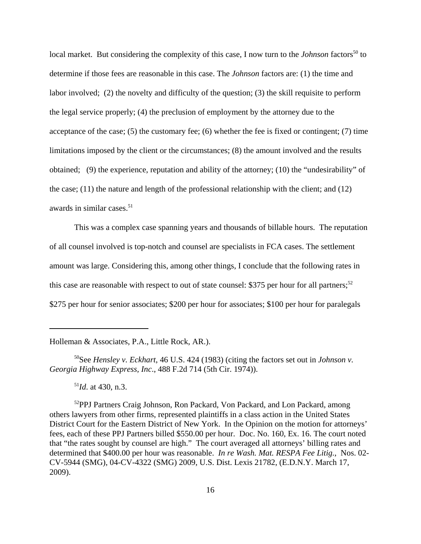local market. But considering the complexity of this case, I now turn to the *Johnson* factors<sup>50</sup> to determine if those fees are reasonable in this case. The *Johnson* factors are: (1) the time and labor involved; (2) the novelty and difficulty of the question; (3) the skill requisite to perform the legal service properly; (4) the preclusion of employment by the attorney due to the acceptance of the case; (5) the customary fee; (6) whether the fee is fixed or contingent; (7) time limitations imposed by the client or the circumstances; (8) the amount involved and the results obtained; (9) the experience, reputation and ability of the attorney; (10) the "undesirability" of the case; (11) the nature and length of the professional relationship with the client; and (12) awards in similar cases.<sup>51</sup>

This was a complex case spanning years and thousands of billable hours. The reputation of all counsel involved is top-notch and counsel are specialists in FCA cases. The settlement amount was large. Considering this, among other things, I conclude that the following rates in this case are reasonable with respect to out of state counsel: \$375 per hour for all partners;<sup>52</sup> \$275 per hour for senior associates; \$200 per hour for associates; \$100 per hour for paralegals

Holleman & Associates, P.A., Little Rock, AR.).

50See *Hensley v. Eckhart*, 46 U.S. 424 (1983) (citing the factors set out in *Johnson v. Georgia Highway Express, Inc*., 488 F.2d 714 (5th Cir. 1974)).

<sup>51</sup>*Id*. at 430, n.3.

<sup>52</sup>PPJ Partners Craig Johnson, Ron Packard, Von Packard, and Lon Packard, among others lawyers from other firms, represented plaintiffs in a class action in the United States District Court for the Eastern District of New York. In the Opinion on the motion for attorneys' fees, each of these PPJ Partners billed \$550.00 per hour. Doc. No. 160, Ex. 16. The court noted that "the rates sought by counsel are high." The court averaged all attorneys' billing rates and determined that \$400.00 per hour was reasonable. *In re Wash. Mat. RESPA Fee Litig.*, Nos. 02- CV-5944 (SMG), 04-CV-4322 (SMG) 2009, U.S. Dist. Lexis 21782, (E.D.N.Y. March 17, 2009).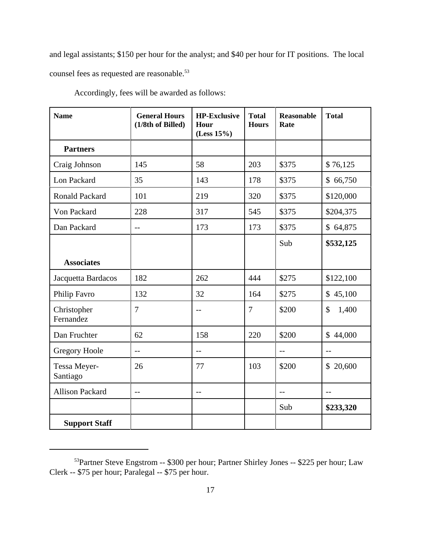and legal assistants; \$150 per hour for the analyst; and \$40 per hour for IT positions. The local counsel fees as requested are reasonable.<sup>53</sup>

| <b>Name</b>              | <b>General Hours</b><br>(1/8th of Billed) | <b>HP-Exclusive</b><br>Hour<br>(Less 15%) | <b>Total</b><br><b>Hours</b> | <b>Reasonable</b><br>Rate | <b>Total</b>           |
|--------------------------|-------------------------------------------|-------------------------------------------|------------------------------|---------------------------|------------------------|
| <b>Partners</b>          |                                           |                                           |                              |                           |                        |
| Craig Johnson            | 145                                       | 58                                        | 203                          | \$375                     | \$76,125               |
| Lon Packard              | 35                                        | 143                                       | 178                          | \$375                     | \$66,750               |
| <b>Ronald Packard</b>    | 101                                       | 219                                       | 320                          | \$375                     | \$120,000              |
| Von Packard              | 228                                       | 317                                       | 545                          | \$375                     | \$204,375              |
| Dan Packard              | $-$                                       | 173                                       | 173                          | \$375                     | \$64,875               |
|                          |                                           |                                           |                              | Sub                       | \$532,125              |
| <b>Associates</b>        |                                           |                                           |                              |                           |                        |
| Jacquetta Bardacos       | 182                                       | 262                                       | 444                          | \$275                     | \$122,100              |
| Philip Favro             | 132                                       | 32                                        | 164                          | \$275                     | \$45,100               |
| Christopher<br>Fernandez | $\overline{7}$                            | $-1$                                      | $\overline{7}$               | \$200                     | $\mathcal{S}$<br>1,400 |
| Dan Fruchter             | 62                                        | 158                                       | 220                          | \$200                     | \$44,000               |
| <b>Gregory Hoole</b>     | $-$                                       | $-$                                       |                              | $-$                       | $-$                    |
| Tessa Meyer-<br>Santiago | 26                                        | 77                                        | 103                          | \$200                     | \$20,600               |
| <b>Allison Packard</b>   | $-$                                       | $-$                                       |                              | $\overline{a}$            | $-$                    |
|                          |                                           |                                           |                              | Sub                       | \$233,320              |
| <b>Support Staff</b>     |                                           |                                           |                              |                           |                        |

Accordingly, fees will be awarded as follows:

<sup>53</sup>Partner Steve Engstrom -- \$300 per hour; Partner Shirley Jones -- \$225 per hour; Law Clerk -- \$75 per hour; Paralegal -- \$75 per hour.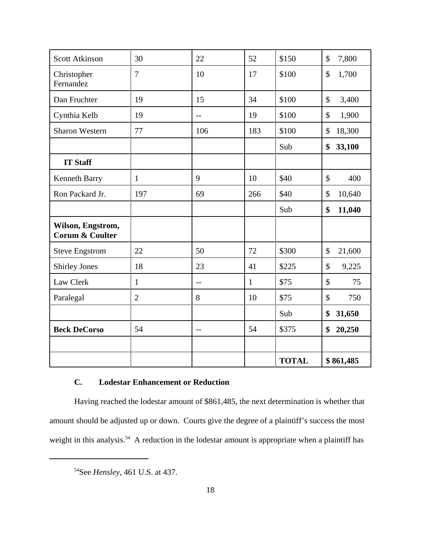| <b>Scott Atkinson</b>                           | 30             | 22             | 52           | \$150        | 7,800<br>\$             |
|-------------------------------------------------|----------------|----------------|--------------|--------------|-------------------------|
| Christopher<br>Fernandez                        | $\overline{7}$ | 10             | 17           | \$100        | $\mathcal{S}$<br>1,700  |
| Dan Fruchter                                    | 19             | 15             | 34           | \$100        | \$<br>3,400             |
| Cynthia Kelb                                    | 19             | $\overline{a}$ | 19           | \$100        | $\mathcal{S}$<br>1,900  |
| <b>Sharon Western</b>                           | 77             | 106            | 183          | \$100        | 18,300<br>$\mathcal{S}$ |
|                                                 |                |                |              | Sub          | 33,100<br>\$            |
| <b>IT Staff</b>                                 |                |                |              |              |                         |
| Kenneth Barry                                   | 1              | 9              | 10           | \$40         | \$<br>400               |
| Ron Packard Jr.                                 | 197            | 69             | 266          | \$40         | 10,640<br>\$            |
|                                                 |                |                |              | Sub          | \$<br>11,040            |
| Wilson, Engstrom,<br><b>Corum &amp; Coulter</b> |                |                |              |              |                         |
| <b>Steve Engstrom</b>                           | 22             | 50             | 72           | \$300        | $\mathcal{S}$<br>21,600 |
| <b>Shirley Jones</b>                            | 18             | 23             | 41           | \$225        | $\mathcal{S}$<br>9,225  |
| Law Clerk                                       | $\mathbf{1}$   | $-$            | $\mathbf{1}$ | \$75         | $\mathcal{S}$<br>75     |
| Paralegal                                       | $\overline{2}$ | 8              | 10           | \$75         | $\mathcal{S}$<br>750    |
|                                                 |                |                |              | Sub          | \$<br>31,650            |
| <b>Beck DeCorso</b>                             | 54             | $-$            | 54           | \$375        | \$<br>20,250            |
|                                                 |                |                |              |              |                         |
|                                                 |                |                |              | <b>TOTAL</b> | \$861,485               |

# **C. Lodestar Enhancement or Reduction**

Having reached the lodestar amount of \$861,485, the next determination is whether that amount should be adjusted up or down. Courts give the degree of a plaintiff's success the most weight in this analysis.<sup>54</sup> A reduction in the lodestar amount is appropriate when a plaintiff has

<sup>54</sup>See *Hensley*, 461 U.S. at 437.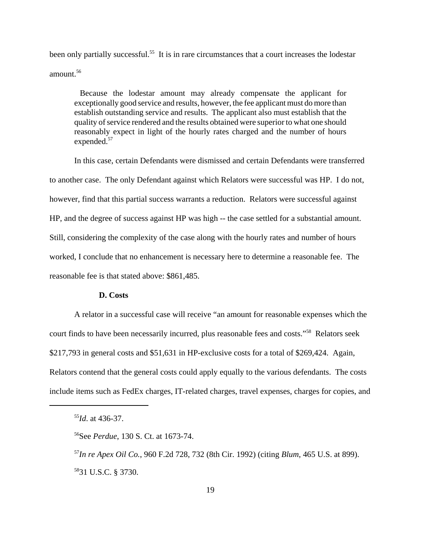been only partially successful.<sup>55</sup> It is in rare circumstances that a court increases the lodestar amount.56

Because the lodestar amount may already compensate the applicant for exceptionally good service and results, however, the fee applicant must do more than establish outstanding service and results. The applicant also must establish that the quality of service rendered and the results obtained were superior to what one should reasonably expect in light of the hourly rates charged and the number of hours expended.<sup>57</sup>

In this case, certain Defendants were dismissed and certain Defendants were transferred to another case. The only Defendant against which Relators were successful was HP. I do not, however, find that this partial success warrants a reduction. Relators were successful against HP, and the degree of success against HP was high -- the case settled for a substantial amount. Still, considering the complexity of the case along with the hourly rates and number of hours worked, I conclude that no enhancement is necessary here to determine a reasonable fee. The reasonable fee is that stated above: \$861,485.

#### **D. Costs**

A relator in a successful case will receive "an amount for reasonable expenses which the court finds to have been necessarily incurred, plus reasonable fees and costs."58 Relators seek \$217,793 in general costs and \$51,631 in HP-exclusive costs for a total of \$269,424. Again, Relators contend that the general costs could apply equally to the various defendants. The costs include items such as FedEx charges, IT-related charges, travel expenses, charges for copies, and

<sup>55</sup>*Id*. at 436-37.

<sup>56</sup>See *Perdue*, 130 S. Ct. at 1673-74.

<sup>57</sup>*In re Apex Oil Co.*, 960 F.2d 728, 732 (8th Cir. 1992) (citing *Blum*, 465 U.S. at 899). 5831 U.S.C. § 3730.